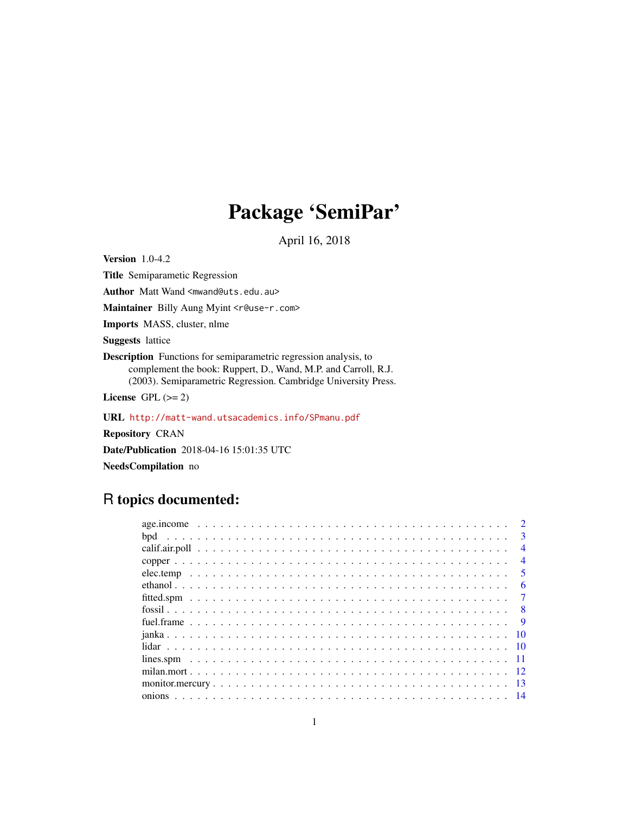# Package 'SemiPar'

April 16, 2018

<span id="page-0-0"></span>Version 1.0-4.2

Title Semiparametic Regression

Author Matt Wand <mwand@uts.edu.au>

Maintainer Billy Aung Myint <r@use-r.com>

Imports MASS, cluster, nlme

Suggests lattice

Description Functions for semiparametric regression analysis, to complement the book: Ruppert, D., Wand, M.P. and Carroll, R.J. (2003). Semiparametric Regression. Cambridge University Press.

License GPL  $(>= 2)$ 

URL <http://matt-wand.utsacademics.info/SPmanu.pdf>

Repository CRAN

Date/Publication 2018-04-16 15:01:35 UTC

NeedsCompilation no

## R topics documented:

|  |  |  |  |  |  |  |  |  |  |  |  |  |  |  |  |  |  |  | $\mathcal{D}$   |
|--|--|--|--|--|--|--|--|--|--|--|--|--|--|--|--|--|--|--|-----------------|
|  |  |  |  |  |  |  |  |  |  |  |  |  |  |  |  |  |  |  | $\mathbf{3}$    |
|  |  |  |  |  |  |  |  |  |  |  |  |  |  |  |  |  |  |  | $\overline{4}$  |
|  |  |  |  |  |  |  |  |  |  |  |  |  |  |  |  |  |  |  | $\overline{4}$  |
|  |  |  |  |  |  |  |  |  |  |  |  |  |  |  |  |  |  |  | -5              |
|  |  |  |  |  |  |  |  |  |  |  |  |  |  |  |  |  |  |  | 6               |
|  |  |  |  |  |  |  |  |  |  |  |  |  |  |  |  |  |  |  | $\overline{7}$  |
|  |  |  |  |  |  |  |  |  |  |  |  |  |  |  |  |  |  |  |                 |
|  |  |  |  |  |  |  |  |  |  |  |  |  |  |  |  |  |  |  | $\overline{9}$  |
|  |  |  |  |  |  |  |  |  |  |  |  |  |  |  |  |  |  |  | $\overline{10}$ |
|  |  |  |  |  |  |  |  |  |  |  |  |  |  |  |  |  |  |  |                 |
|  |  |  |  |  |  |  |  |  |  |  |  |  |  |  |  |  |  |  |                 |
|  |  |  |  |  |  |  |  |  |  |  |  |  |  |  |  |  |  |  |                 |
|  |  |  |  |  |  |  |  |  |  |  |  |  |  |  |  |  |  |  |                 |
|  |  |  |  |  |  |  |  |  |  |  |  |  |  |  |  |  |  |  |                 |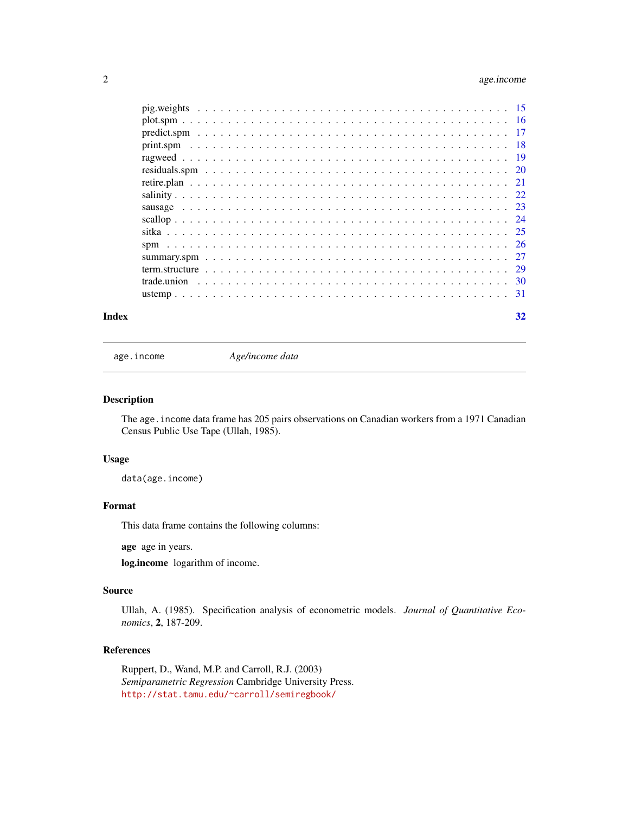### <span id="page-1-0"></span>2 age.income

| Index | 32 |  |
|-------|----|--|
|       |    |  |
|       |    |  |
|       |    |  |
|       |    |  |
|       |    |  |
|       |    |  |
|       |    |  |
|       |    |  |
|       |    |  |
|       |    |  |
|       |    |  |
|       |    |  |
|       |    |  |
|       |    |  |
|       |    |  |
|       |    |  |

age.income *Age/income data*

#### Description

The age. income data frame has 205 pairs observations on Canadian workers from a 1971 Canadian Census Public Use Tape (Ullah, 1985).

#### Usage

data(age.income)

#### Format

This data frame contains the following columns:

age age in years.

log.income logarithm of income.

#### Source

Ullah, A. (1985). Specification analysis of econometric models. *Journal of Quantitative Economics*, 2, 187-209.

#### References

Ruppert, D., Wand, M.P. and Carroll, R.J. (2003) *Semiparametric Regression* Cambridge University Press. <http://stat.tamu.edu/~carroll/semiregbook/>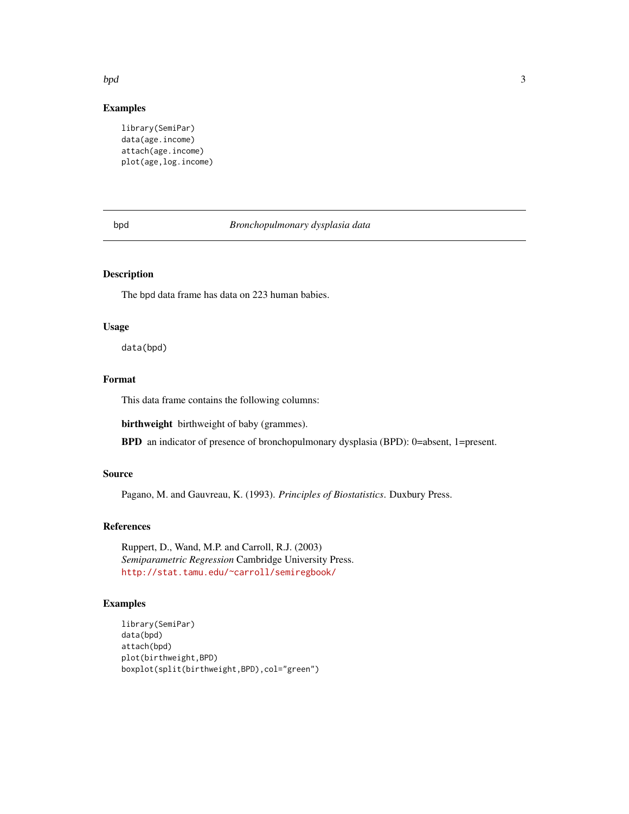## <span id="page-2-0"></span>bpd 3

#### Examples

library(SemiPar) data(age.income) attach(age.income) plot(age,log.income)

#### bpd *Bronchopulmonary dysplasia data*

#### Description

The bpd data frame has data on 223 human babies.

#### Usage

data(bpd)

#### Format

This data frame contains the following columns:

birthweight birthweight of baby (grammes).

BPD an indicator of presence of bronchopulmonary dysplasia (BPD): 0=absent, 1=present.

#### Source

Pagano, M. and Gauvreau, K. (1993). *Principles of Biostatistics*. Duxbury Press.

#### References

Ruppert, D., Wand, M.P. and Carroll, R.J. (2003) *Semiparametric Regression* Cambridge University Press. <http://stat.tamu.edu/~carroll/semiregbook/>

```
library(SemiPar)
data(bpd)
attach(bpd)
plot(birthweight,BPD)
boxplot(split(birthweight,BPD),col="green")
```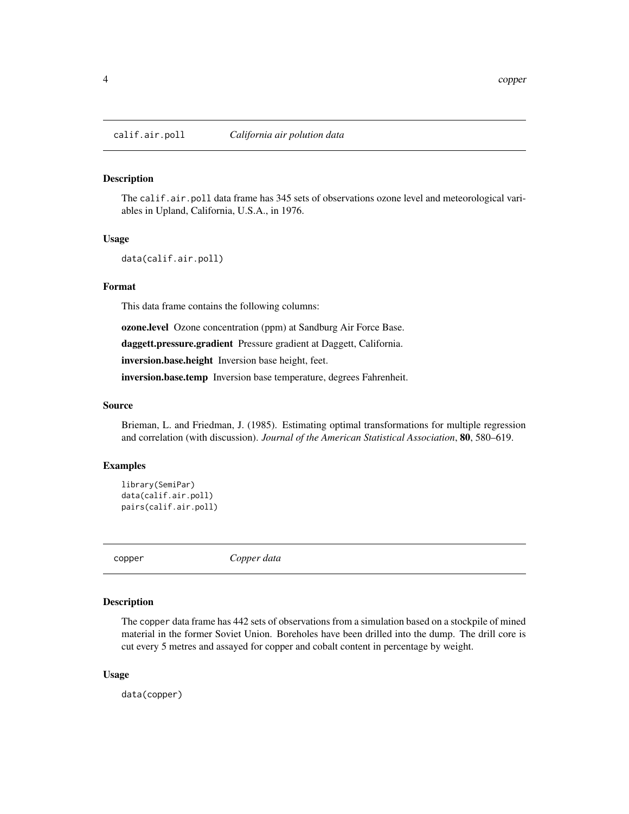<span id="page-3-0"></span>

The calif.air.poll data frame has 345 sets of observations ozone level and meteorological variables in Upland, California, U.S.A., in 1976.

#### Usage

data(calif.air.poll)

#### Format

This data frame contains the following columns:

ozone.level Ozone concentration (ppm) at Sandburg Air Force Base.

daggett.pressure.gradient Pressure gradient at Daggett, California.

inversion.base.height Inversion base height, feet.

inversion.base.temp Inversion base temperature, degrees Fahrenheit.

#### Source

Brieman, L. and Friedman, J. (1985). Estimating optimal transformations for multiple regression and correlation (with discussion). *Journal of the American Statistical Association*, 80, 580–619.

### Examples

```
library(SemiPar)
data(calif.air.poll)
pairs(calif.air.poll)
```
copper *Copper data*

#### Description

The copper data frame has 442 sets of observations from a simulation based on a stockpile of mined material in the former Soviet Union. Boreholes have been drilled into the dump. The drill core is cut every 5 metres and assayed for copper and cobalt content in percentage by weight.

#### Usage

data(copper)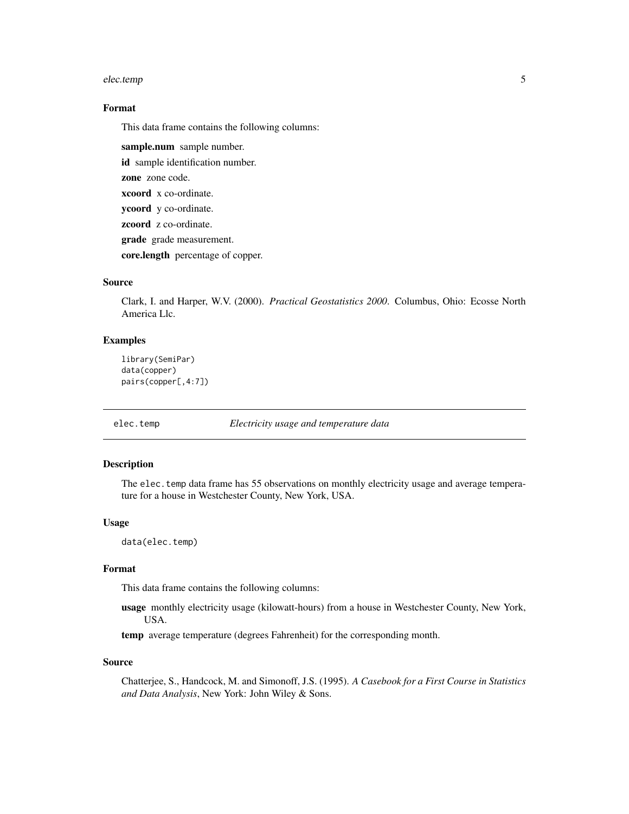#### <span id="page-4-0"></span>elec.temp 5

#### Format

This data frame contains the following columns:

sample.num sample number. id sample identification number. zone zone code. xcoord x co-ordinate. ycoord y co-ordinate. zcoord z co-ordinate. grade grade measurement. core.length percentage of copper.

#### Source

Clark, I. and Harper, W.V. (2000). *Practical Geostatistics 2000*. Columbus, Ohio: Ecosse North America Llc.

#### **Examples**

```
library(SemiPar)
data(copper)
pairs(copper[,4:7])
```
elec.temp *Electricity usage and temperature data*

#### Description

The elec.temp data frame has 55 observations on monthly electricity usage and average temperature for a house in Westchester County, New York, USA.

#### Usage

```
data(elec.temp)
```
#### Format

This data frame contains the following columns:

usage monthly electricity usage (kilowatt-hours) from a house in Westchester County, New York, USA.

temp average temperature (degrees Fahrenheit) for the corresponding month.

#### Source

Chatterjee, S., Handcock, M. and Simonoff, J.S. (1995). *A Casebook for a First Course in Statistics and Data Analysis*, New York: John Wiley & Sons.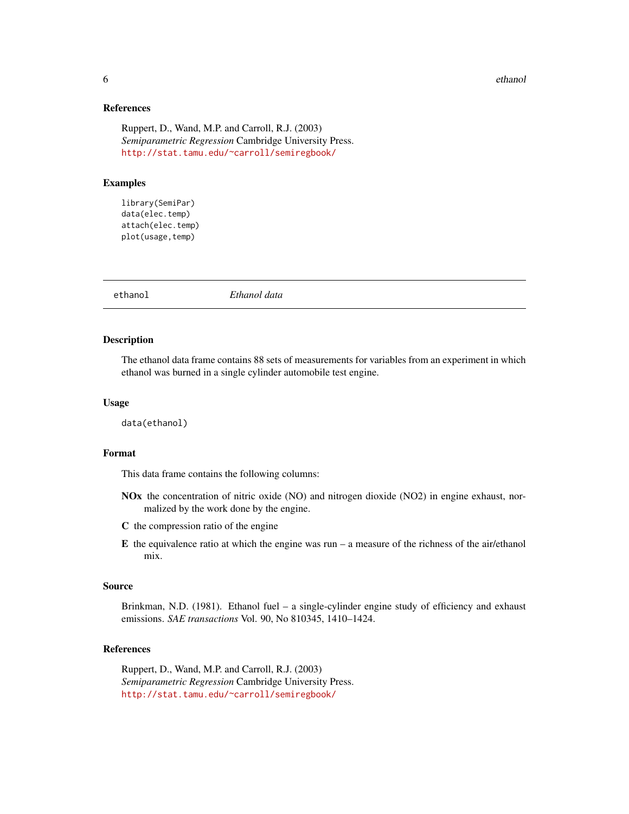#### <span id="page-5-0"></span>6 ethanol ethanol ethanol ethanol ethanol ethanol ethanol ethanol ethanol ethanol ethanol ethanol ethanol etha

#### References

Ruppert, D., Wand, M.P. and Carroll, R.J. (2003) *Semiparametric Regression* Cambridge University Press. <http://stat.tamu.edu/~carroll/semiregbook/>

#### Examples

library(SemiPar) data(elec.temp) attach(elec.temp) plot(usage,temp)

ethanol *Ethanol data*

#### Description

The ethanol data frame contains 88 sets of measurements for variables from an experiment in which ethanol was burned in a single cylinder automobile test engine.

#### Usage

data(ethanol)

#### Format

This data frame contains the following columns:

- NOx the concentration of nitric oxide (NO) and nitrogen dioxide (NO2) in engine exhaust, normalized by the work done by the engine.
- C the compression ratio of the engine
- E the equivalence ratio at which the engine was run a measure of the richness of the air/ethanol mix.

#### Source

Brinkman, N.D. (1981). Ethanol fuel – a single-cylinder engine study of efficiency and exhaust emissions. *SAE transactions* Vol. 90, No 810345, 1410–1424.

#### References

Ruppert, D., Wand, M.P. and Carroll, R.J. (2003) *Semiparametric Regression* Cambridge University Press. <http://stat.tamu.edu/~carroll/semiregbook/>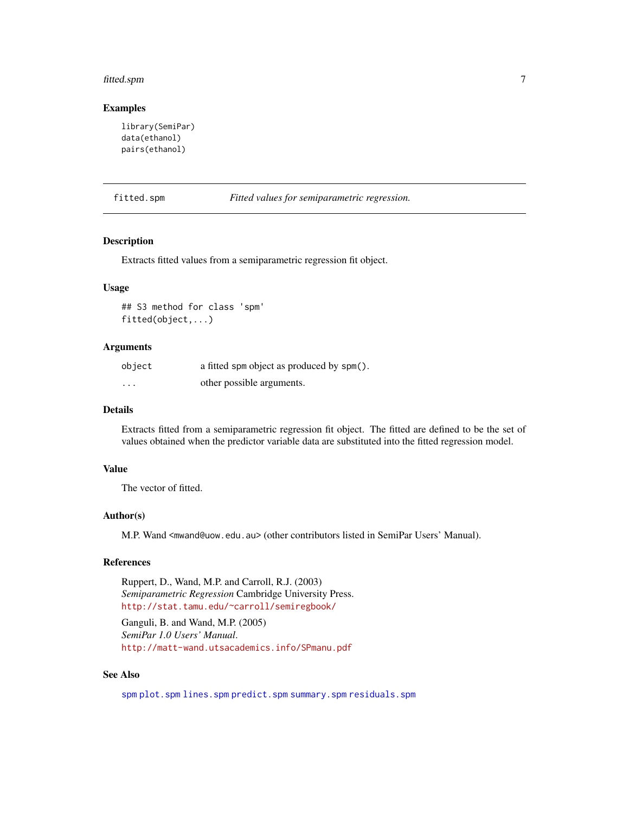#### <span id="page-6-0"></span>fitted.spm 7

#### Examples

```
library(SemiPar)
data(ethanol)
pairs(ethanol)
```
fitted.spm *Fitted values for semiparametric regression.*

#### Description

Extracts fitted values from a semiparametric regression fit object.

#### Usage

## S3 method for class 'spm' fitted(object,...)

#### Arguments

| object   | a fitted spm object as produced by spm(). |
|----------|-------------------------------------------|
| $\cdots$ | other possible arguments.                 |

#### Details

Extracts fitted from a semiparametric regression fit object. The fitted are defined to be the set of values obtained when the predictor variable data are substituted into the fitted regression model.

#### Value

The vector of fitted.

#### Author(s)

M.P. Wand <mwand@uow.edu.au> (other contributors listed in SemiPar Users' Manual).

#### References

Ruppert, D., Wand, M.P. and Carroll, R.J. (2003) *Semiparametric Regression* Cambridge University Press. <http://stat.tamu.edu/~carroll/semiregbook/>

Ganguli, B. and Wand, M.P. (2005) *SemiPar 1.0 Users' Manual*. <http://matt-wand.utsacademics.info/SPmanu.pdf>

#### See Also

[spm](#page-25-1) [plot.spm](#page-15-1) [lines.spm](#page-10-1) [predict.spm](#page-16-1) [summary.spm](#page-26-1) [residuals.spm](#page-19-1)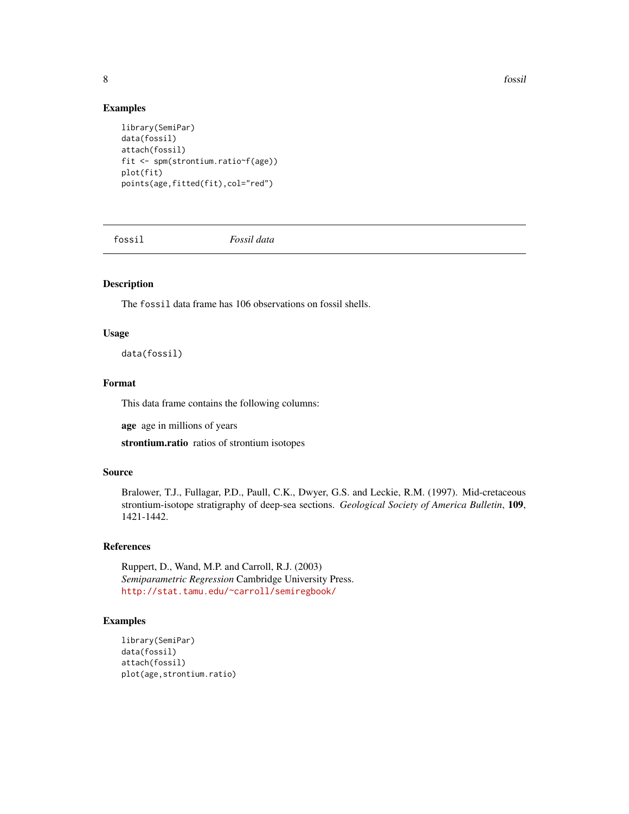8 fossil and the set of the set of the set of the set of the set of the set of the set of the set of the set of the set of the set of the set of the set of the set of the set of the set of the set of the set of the set of

#### Examples

```
library(SemiPar)
data(fossil)
attach(fossil)
fit <- spm(strontium.ratio~f(age))
plot(fit)
points(age,fitted(fit),col="red")
```
fossil *Fossil data*

#### Description

The fossil data frame has 106 observations on fossil shells.

#### Usage

data(fossil)

#### Format

This data frame contains the following columns:

age age in millions of years

strontium.ratio ratios of strontium isotopes

#### Source

Bralower, T.J., Fullagar, P.D., Paull, C.K., Dwyer, G.S. and Leckie, R.M. (1997). Mid-cretaceous strontium-isotope stratigraphy of deep-sea sections. *Geological Society of America Bulletin*, 109, 1421-1442.

#### References

Ruppert, D., Wand, M.P. and Carroll, R.J. (2003) *Semiparametric Regression* Cambridge University Press. <http://stat.tamu.edu/~carroll/semiregbook/>

```
library(SemiPar)
data(fossil)
attach(fossil)
plot(age,strontium.ratio)
```
<span id="page-7-0"></span>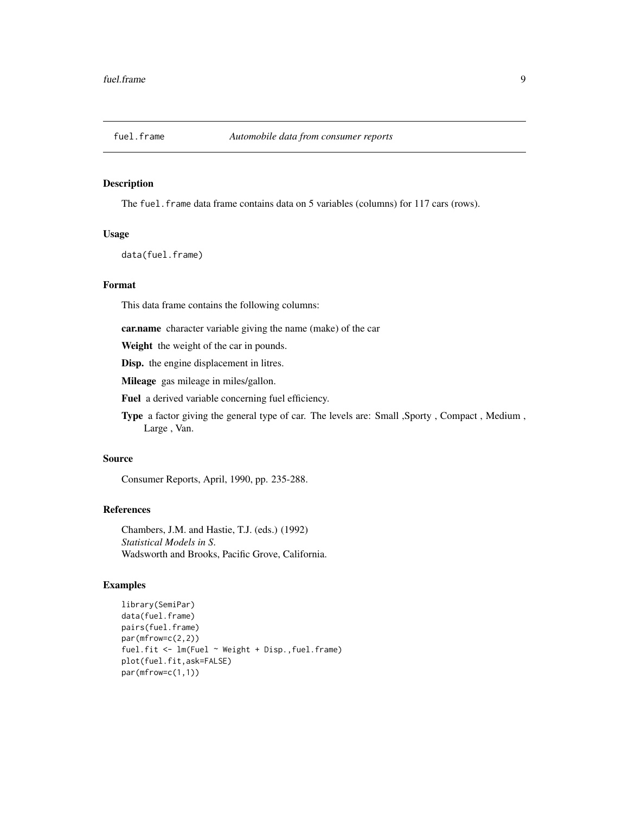<span id="page-8-0"></span>

The fuel.frame data frame contains data on 5 variables (columns) for 117 cars (rows).

#### Usage

data(fuel.frame)

#### Format

This data frame contains the following columns:

car.name character variable giving the name (make) of the car

Weight the weight of the car in pounds.

Disp. the engine displacement in litres.

Mileage gas mileage in miles/gallon.

Fuel a derived variable concerning fuel efficiency.

Type a factor giving the general type of car. The levels are: Small ,Sporty , Compact , Medium , Large , Van.

#### Source

Consumer Reports, April, 1990, pp. 235-288.

#### References

Chambers, J.M. and Hastie, T.J. (eds.) (1992) *Statistical Models in S*. Wadsworth and Brooks, Pacific Grove, California.

```
library(SemiPar)
data(fuel.frame)
pairs(fuel.frame)
par(mfrow=c(2,2))
fuel.fit <- lm(Fuel ~ Weight + Disp.,fuel.frame)
plot(fuel.fit,ask=FALSE)
par(mfrow=c(1,1))
```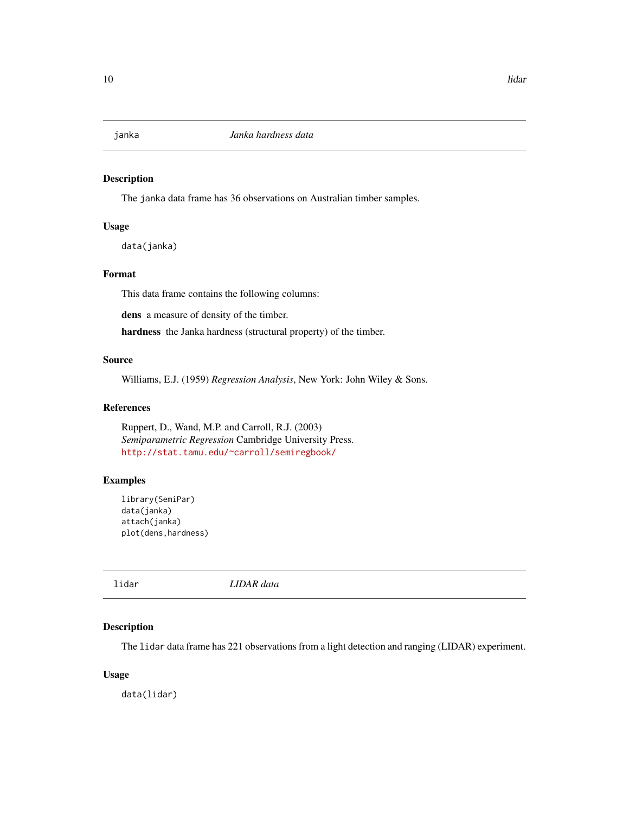<span id="page-9-0"></span>

The janka data frame has 36 observations on Australian timber samples.

#### Usage

data(janka)

#### Format

This data frame contains the following columns:

dens a measure of density of the timber.

hardness the Janka hardness (structural property) of the timber.

#### Source

Williams, E.J. (1959) *Regression Analysis*, New York: John Wiley & Sons.

#### References

Ruppert, D., Wand, M.P. and Carroll, R.J. (2003) *Semiparametric Regression* Cambridge University Press. <http://stat.tamu.edu/~carroll/semiregbook/>

#### Examples

```
library(SemiPar)
data(janka)
attach(janka)
plot(dens,hardness)
```
lidar *LIDAR data*

#### Description

The lidar data frame has 221 observations from a light detection and ranging (LIDAR) experiment.

#### Usage

data(lidar)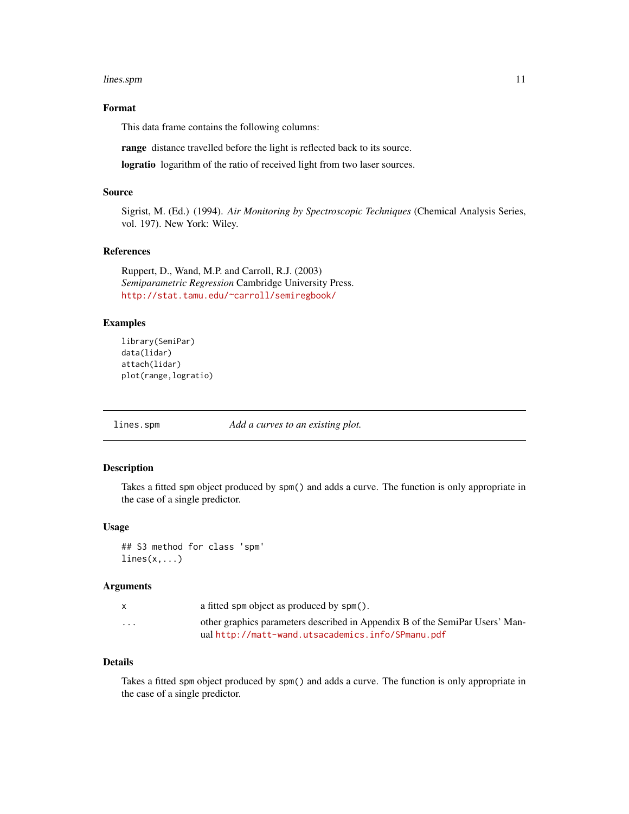#### <span id="page-10-0"></span>lines.spm 11

#### Format

This data frame contains the following columns:

range distance travelled before the light is reflected back to its source.

logratio logarithm of the ratio of received light from two laser sources.

#### Source

Sigrist, M. (Ed.) (1994). *Air Monitoring by Spectroscopic Techniques* (Chemical Analysis Series, vol. 197). New York: Wiley.

#### References

Ruppert, D., Wand, M.P. and Carroll, R.J. (2003) *Semiparametric Regression* Cambridge University Press. <http://stat.tamu.edu/~carroll/semiregbook/>

#### Examples

```
library(SemiPar)
data(lidar)
attach(lidar)
plot(range,logratio)
```
<span id="page-10-1"></span>lines.spm *Add a curves to an existing plot.*

#### Description

Takes a fitted spm object produced by spm() and adds a curve. The function is only appropriate in the case of a single predictor.

#### Usage

## S3 method for class 'spm'  $lines(x,...)$ 

#### Arguments

|          | a fitted spm object as produced by spm().                                    |
|----------|------------------------------------------------------------------------------|
| $\cdots$ | other graphics parameters described in Appendix B of the SemiPar Users' Man- |
|          | ual http://matt-wand.utsacademics.info/SPmanu.pdf                            |

#### Details

Takes a fitted spm object produced by spm() and adds a curve. The function is only appropriate in the case of a single predictor.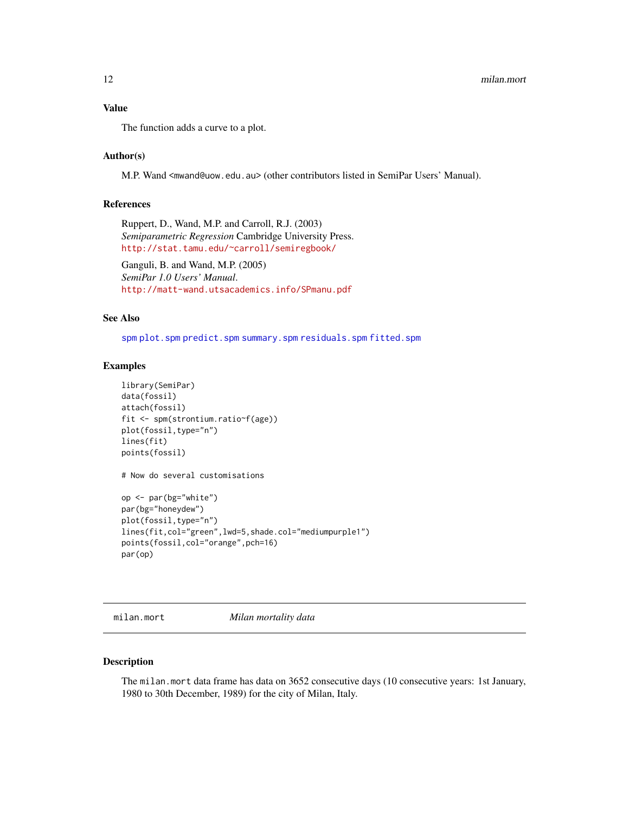#### <span id="page-11-0"></span>Value

The function adds a curve to a plot.

#### Author(s)

M.P. Wand <mwand@uow.edu.au> (other contributors listed in SemiPar Users' Manual).

#### References

Ruppert, D., Wand, M.P. and Carroll, R.J. (2003) *Semiparametric Regression* Cambridge University Press. <http://stat.tamu.edu/~carroll/semiregbook/>

Ganguli, B. and Wand, M.P. (2005) *SemiPar 1.0 Users' Manual*. <http://matt-wand.utsacademics.info/SPmanu.pdf>

#### See Also

[spm](#page-25-1) [plot.spm](#page-15-1) [predict.spm](#page-16-1) [summary.spm](#page-26-1) [residuals.spm](#page-19-1) [fitted.spm](#page-6-1)

#### Examples

```
library(SemiPar)
data(fossil)
attach(fossil)
fit <- spm(strontium.ratio~f(age))
plot(fossil,type="n")
lines(fit)
points(fossil)
# Now do several customisations
op <- par(bg="white")
par(bg="honeydew")
plot(fossil,type="n")
lines(fit,col="green",lwd=5,shade.col="mediumpurple1")
points(fossil,col="orange",pch=16)
par(op)
```
milan.mort *Milan mortality data*

#### Description

The milan.mort data frame has data on 3652 consecutive days (10 consecutive years: 1st January, 1980 to 30th December, 1989) for the city of Milan, Italy.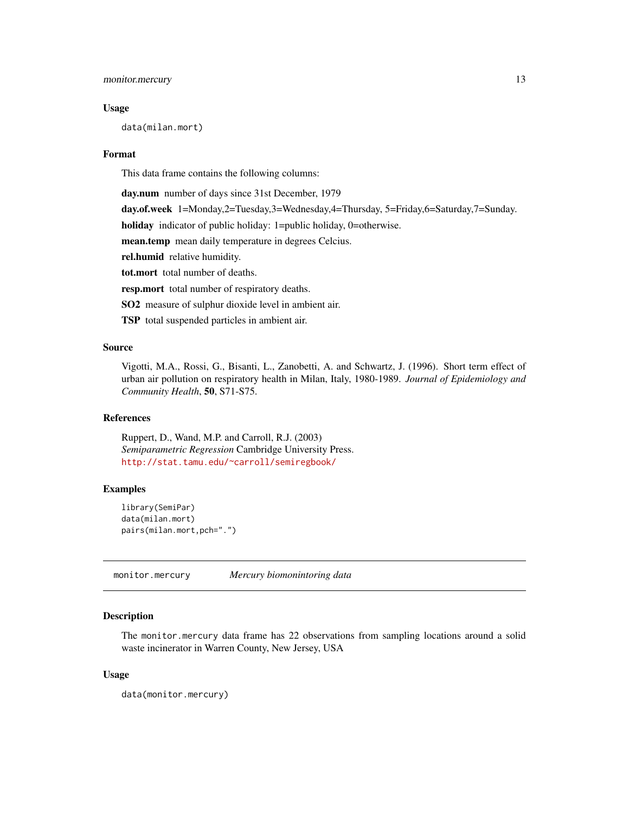#### <span id="page-12-0"></span>monitor.mercury 13

#### Usage

data(milan.mort)

#### Format

This data frame contains the following columns:

day.num number of days since 31st December, 1979

day.of.week 1=Monday,2=Tuesday,3=Wednesday,4=Thursday, 5=Friday,6=Saturday,7=Sunday.

holiday indicator of public holiday: 1=public holiday, 0=otherwise.

mean.temp mean daily temperature in degrees Celcius.

rel.humid relative humidity.

tot.mort total number of deaths.

resp.mort total number of respiratory deaths.

SO2 measure of sulphur dioxide level in ambient air.

TSP total suspended particles in ambient air.

#### Source

Vigotti, M.A., Rossi, G., Bisanti, L., Zanobetti, A. and Schwartz, J. (1996). Short term effect of urban air pollution on respiratory health in Milan, Italy, 1980-1989. *Journal of Epidemiology and Community Health*, 50, S71-S75.

#### References

Ruppert, D., Wand, M.P. and Carroll, R.J. (2003) *Semiparametric Regression* Cambridge University Press. <http://stat.tamu.edu/~carroll/semiregbook/>

#### Examples

```
library(SemiPar)
data(milan.mort)
pairs(milan.mort,pch=".")
```
monitor.mercury *Mercury biomonintoring data*

#### Description

The monitor.mercury data frame has 22 observations from sampling locations around a solid waste incinerator in Warren County, New Jersey, USA

#### Usage

data(monitor.mercury)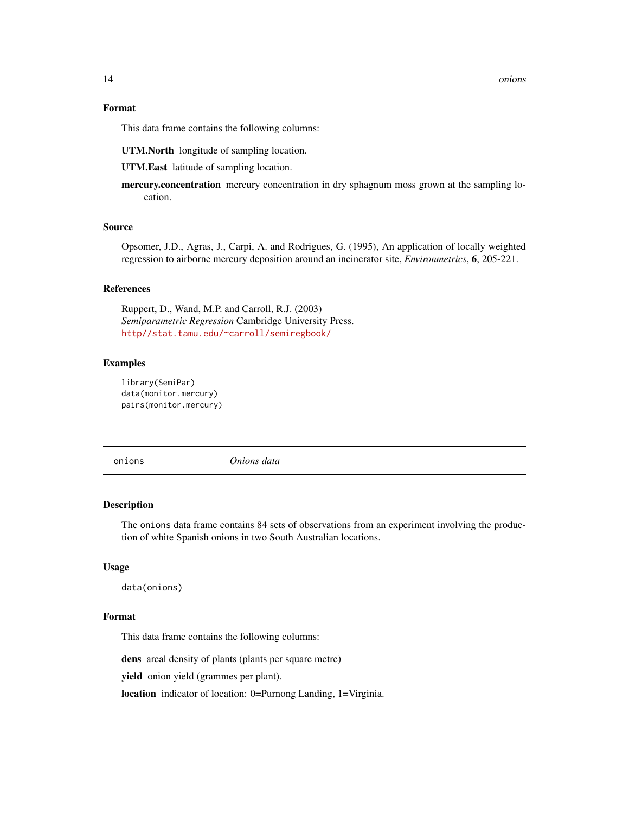#### <span id="page-13-0"></span>Format

This data frame contains the following columns:

UTM.North longitude of sampling location.

UTM.East latitude of sampling location.

mercury.concentration mercury concentration in dry sphagnum moss grown at the sampling location.

#### Source

Opsomer, J.D., Agras, J., Carpi, A. and Rodrigues, G. (1995), An application of locally weighted regression to airborne mercury deposition around an incinerator site, *Environmetrics*, 6, 205-221.

#### References

Ruppert, D., Wand, M.P. and Carroll, R.J. (2003) *Semiparametric Regression* Cambridge University Press. <http//stat.tamu.edu/~carroll/semiregbook/>

#### Examples

```
library(SemiPar)
data(monitor.mercury)
pairs(monitor.mercury)
```
onions *Onions data*

#### Description

The onions data frame contains 84 sets of observations from an experiment involving the production of white Spanish onions in two South Australian locations.

#### Usage

data(onions)

#### Format

This data frame contains the following columns:

dens areal density of plants (plants per square metre)

yield onion yield (grammes per plant).

location indicator of location: 0=Purnong Landing, 1=Virginia.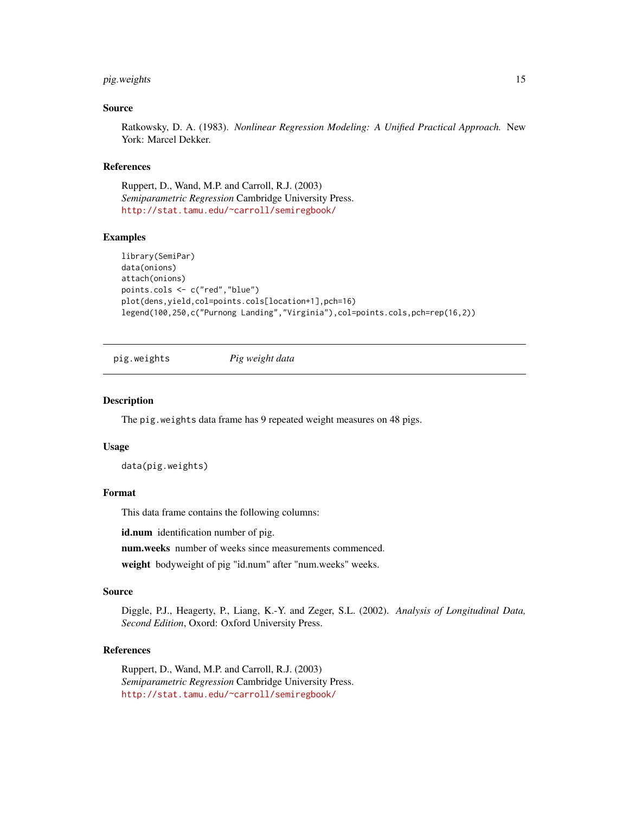#### <span id="page-14-0"></span>pig.weights 15

#### Source

Ratkowsky, D. A. (1983). *Nonlinear Regression Modeling: A Unified Practical Approach.* New York: Marcel Dekker.

#### References

Ruppert, D., Wand, M.P. and Carroll, R.J. (2003) *Semiparametric Regression* Cambridge University Press. <http://stat.tamu.edu/~carroll/semiregbook/>

#### Examples

```
library(SemiPar)
data(onions)
attach(onions)
points.cols <- c("red","blue")
plot(dens,yield,col=points.cols[location+1],pch=16)
legend(100,250,c("Purnong Landing","Virginia"),col=points.cols,pch=rep(16,2))
```
pig.weights *Pig weight data*

#### **Description**

The pig.weights data frame has 9 repeated weight measures on 48 pigs.

#### Usage

data(pig.weights)

#### Format

This data frame contains the following columns:

id.num identification number of pig.

num.weeks number of weeks since measurements commenced.

weight bodyweight of pig "id.num" after "num.weeks" weeks.

#### Source

Diggle, P.J., Heagerty, P., Liang, K.-Y. and Zeger, S.L. (2002). *Analysis of Longitudinal Data, Second Edition*, Oxord: Oxford University Press.

#### References

Ruppert, D., Wand, M.P. and Carroll, R.J. (2003) *Semiparametric Regression* Cambridge University Press. <http://stat.tamu.edu/~carroll/semiregbook/>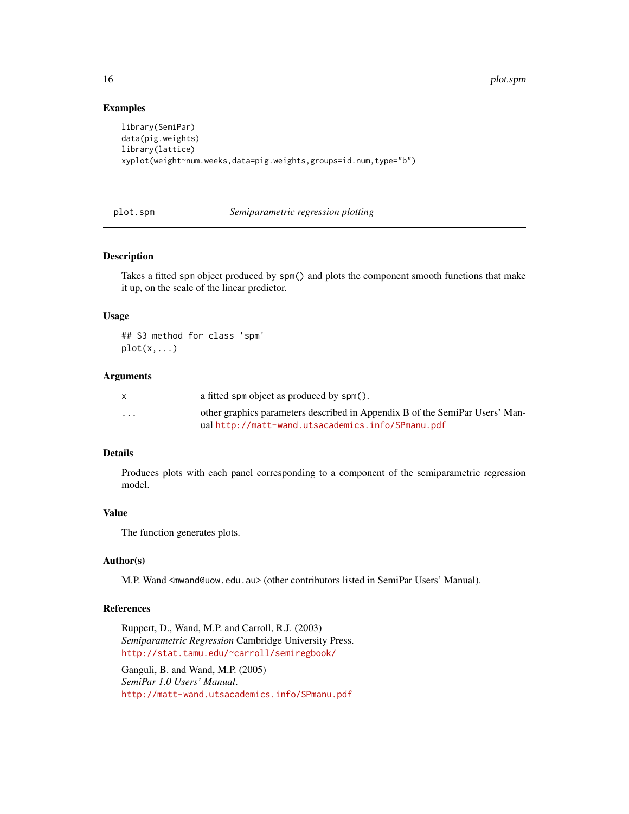#### <span id="page-15-0"></span>Examples

```
library(SemiPar)
data(pig.weights)
library(lattice)
xyplot(weight~num.weeks,data=pig.weights,groups=id.num,type="b")
```
#### <span id="page-15-1"></span>plot.spm *Semiparametric regression plotting*

#### Description

Takes a fitted spm object produced by spm() and plots the component smooth functions that make it up, on the scale of the linear predictor.

#### Usage

## S3 method for class 'spm'  $plot(x,...)$ 

#### Arguments

|                         | a fitted spm object as produced by spm().                                                                                        |
|-------------------------|----------------------------------------------------------------------------------------------------------------------------------|
| $\cdot$ $\cdot$ $\cdot$ | other graphics parameters described in Appendix B of the SemiPar Users' Man-<br>ualhttp://matt-wand.utsacademics.info/SPmanu.pdf |

#### Details

Produces plots with each panel corresponding to a component of the semiparametric regression model.

#### Value

The function generates plots.

#### Author(s)

M.P. Wand <mwand@uow.edu.au> (other contributors listed in SemiPar Users' Manual).

#### References

Ruppert, D., Wand, M.P. and Carroll, R.J. (2003) *Semiparametric Regression* Cambridge University Press. <http://stat.tamu.edu/~carroll/semiregbook/>

Ganguli, B. and Wand, M.P. (2005) *SemiPar 1.0 Users' Manual*. <http://matt-wand.utsacademics.info/SPmanu.pdf>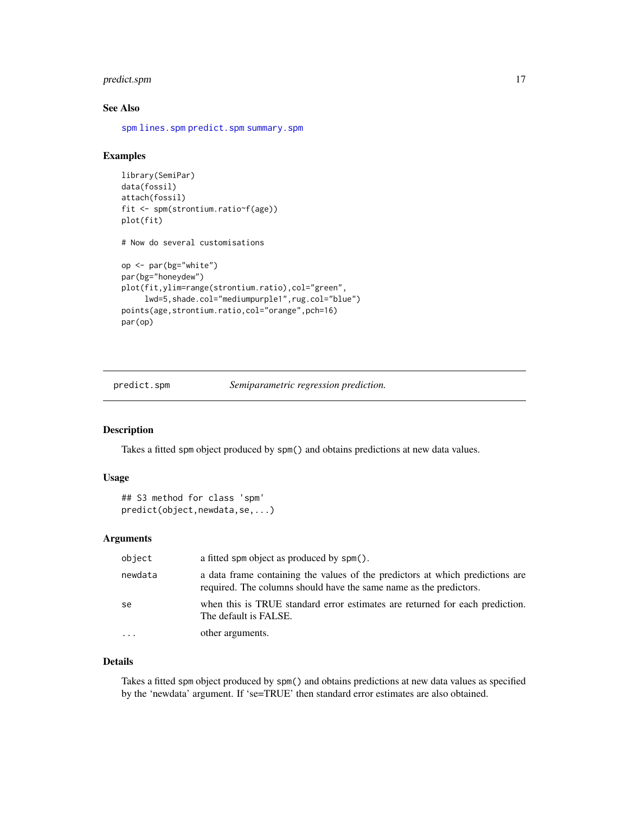#### <span id="page-16-0"></span>predict.spm 17

#### See Also

[spm](#page-25-1) [lines.spm](#page-10-1) [predict.spm](#page-16-1) [summary.spm](#page-26-1)

#### Examples

```
library(SemiPar)
data(fossil)
attach(fossil)
fit <- spm(strontium.ratio~f(age))
plot(fit)
# Now do several customisations
op <- par(bg="white")
par(bg="honeydew")
plot(fit,ylim=range(strontium.ratio),col="green",
     lwd=5,shade.col="mediumpurple1",rug.col="blue")
points(age,strontium.ratio,col="orange",pch=16)
par(op)
```
<span id="page-16-1"></span>predict.spm *Semiparametric regression prediction.*

#### Description

Takes a fitted spm object produced by spm() and obtains predictions at new data values.

#### Usage

```
## S3 method for class 'spm'
predict(object,newdata,se,...)
```
#### Arguments

| object  | a fitted spm object as produced by spm().                                                                                                           |
|---------|-----------------------------------------------------------------------------------------------------------------------------------------------------|
| newdata | a data frame containing the values of the predictors at which predictions are<br>required. The columns should have the same name as the predictors. |
| se      | when this is TRUE standard error estimates are returned for each prediction.<br>The default is FALSE.                                               |
| .       | other arguments.                                                                                                                                    |

#### Details

Takes a fitted spm object produced by spm() and obtains predictions at new data values as specified by the 'newdata' argument. If 'se=TRUE' then standard error estimates are also obtained.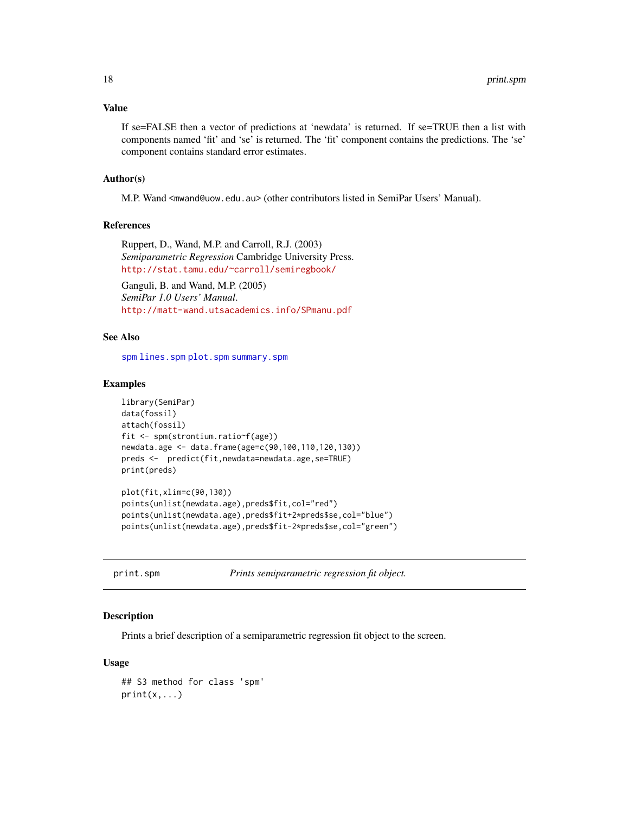#### <span id="page-17-0"></span>Value

If se=FALSE then a vector of predictions at 'newdata' is returned. If se=TRUE then a list with components named 'fit' and 'se' is returned. The 'fit' component contains the predictions. The 'se' component contains standard error estimates.

#### Author(s)

M.P. Wand <mwand@uow.edu.au> (other contributors listed in SemiPar Users' Manual).

#### References

Ruppert, D., Wand, M.P. and Carroll, R.J. (2003) *Semiparametric Regression* Cambridge University Press. <http://stat.tamu.edu/~carroll/semiregbook/>

Ganguli, B. and Wand, M.P. (2005) *SemiPar 1.0 Users' Manual*. <http://matt-wand.utsacademics.info/SPmanu.pdf>

#### See Also

[spm](#page-25-1) [lines.spm](#page-10-1) [plot.spm](#page-15-1) [summary.spm](#page-26-1)

#### Examples

```
library(SemiPar)
data(fossil)
attach(fossil)
fit <- spm(strontium.ratio~f(age))
newdata.age <- data.frame(age=c(90,100,110,120,130))
preds <- predict(fit,newdata=newdata.age,se=TRUE)
print(preds)
```

```
plot(fit,xlim=c(90,130))
points(unlist(newdata.age),preds$fit,col="red")
points(unlist(newdata.age),preds$fit+2*preds$se,col="blue")
points(unlist(newdata.age),preds$fit-2*preds$se,col="green")
```

|  |  |  | print.spm |  |
|--|--|--|-----------|--|
|  |  |  |           |  |
|  |  |  |           |  |

Prints semiparametric regression fit object.

#### Description

Prints a brief description of a semiparametric regression fit object to the screen.

#### Usage

```
## S3 method for class 'spm'
print(x, \ldots)
```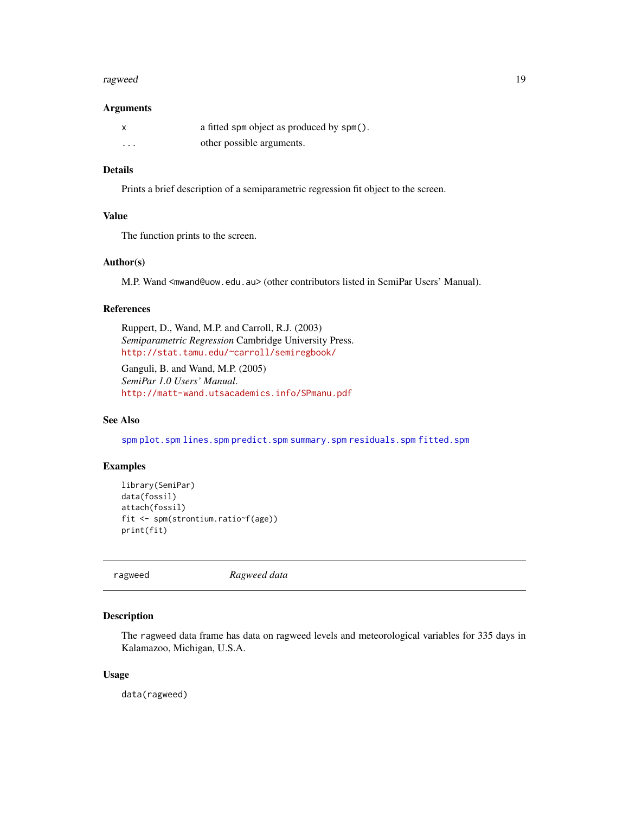#### <span id="page-18-0"></span>ragweed 2008 and 2008 and 2008 and 2008 and 2008 and 2008 and 2008 and 2008 and 2008 and 2008 and 2008 and 200

#### **Arguments**

|          | a fitted spm object as produced by spm(). |
|----------|-------------------------------------------|
| $\cdots$ | other possible arguments.                 |

#### Details

Prints a brief description of a semiparametric regression fit object to the screen.

#### Value

The function prints to the screen.

#### Author(s)

M.P. Wand <mwand@uow.edu.au> (other contributors listed in SemiPar Users' Manual).

#### References

Ruppert, D., Wand, M.P. and Carroll, R.J. (2003) *Semiparametric Regression* Cambridge University Press. <http://stat.tamu.edu/~carroll/semiregbook/>

Ganguli, B. and Wand, M.P. (2005) *SemiPar 1.0 Users' Manual*. <http://matt-wand.utsacademics.info/SPmanu.pdf>

#### See Also

[spm](#page-25-1) [plot.spm](#page-15-1) [lines.spm](#page-10-1) [predict.spm](#page-16-1) [summary.spm](#page-26-1) [residuals.spm](#page-19-1) [fitted.spm](#page-6-1)

#### Examples

```
library(SemiPar)
data(fossil)
attach(fossil)
fit <- spm(strontium.ratio~f(age))
print(fit)
```
ragweed *Ragweed data*

#### Description

The ragweed data frame has data on ragweed levels and meteorological variables for 335 days in Kalamazoo, Michigan, U.S.A.

#### Usage

data(ragweed)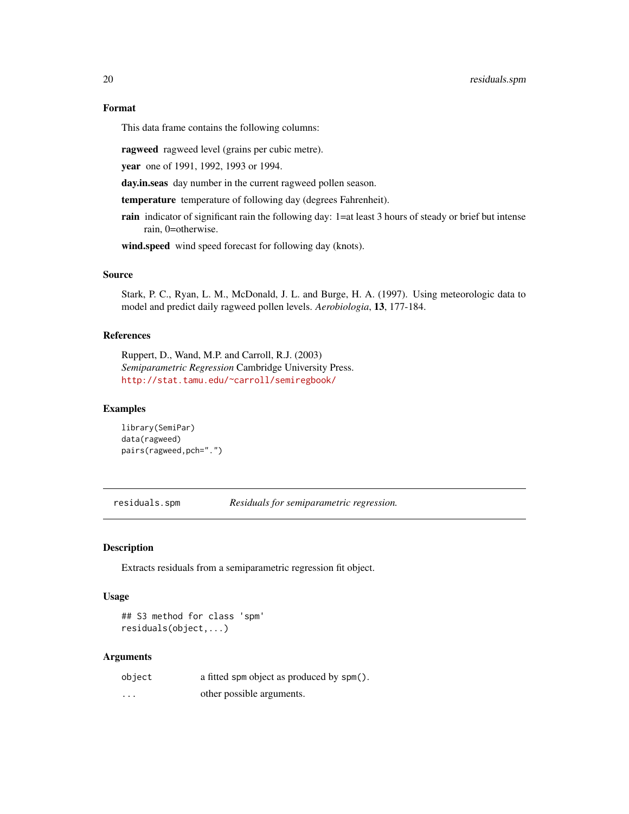#### <span id="page-19-0"></span>Format

This data frame contains the following columns:

ragweed ragweed level (grains per cubic metre).

year one of 1991, 1992, 1993 or 1994.

day.in.seas day number in the current ragweed pollen season.

temperature temperature of following day (degrees Fahrenheit).

rain indicator of significant rain the following day: 1=at least 3 hours of steady or brief but intense rain, 0=otherwise.

wind.speed wind speed forecast for following day (knots).

#### Source

Stark, P. C., Ryan, L. M., McDonald, J. L. and Burge, H. A. (1997). Using meteorologic data to model and predict daily ragweed pollen levels. *Aerobiologia*, 13, 177-184.

#### References

Ruppert, D., Wand, M.P. and Carroll, R.J. (2003) *Semiparametric Regression* Cambridge University Press. <http://stat.tamu.edu/~carroll/semiregbook/>

#### Examples

library(SemiPar) data(ragweed) pairs(ragweed,pch=".")

<span id="page-19-1"></span>residuals.spm *Residuals for semiparametric regression.*

#### Description

Extracts residuals from a semiparametric regression fit object.

#### Usage

```
## S3 method for class 'spm'
residuals(object,...)
```
#### Arguments

| object   | a fitted spm object as produced by spm(). |
|----------|-------------------------------------------|
| $\cdots$ | other possible arguments.                 |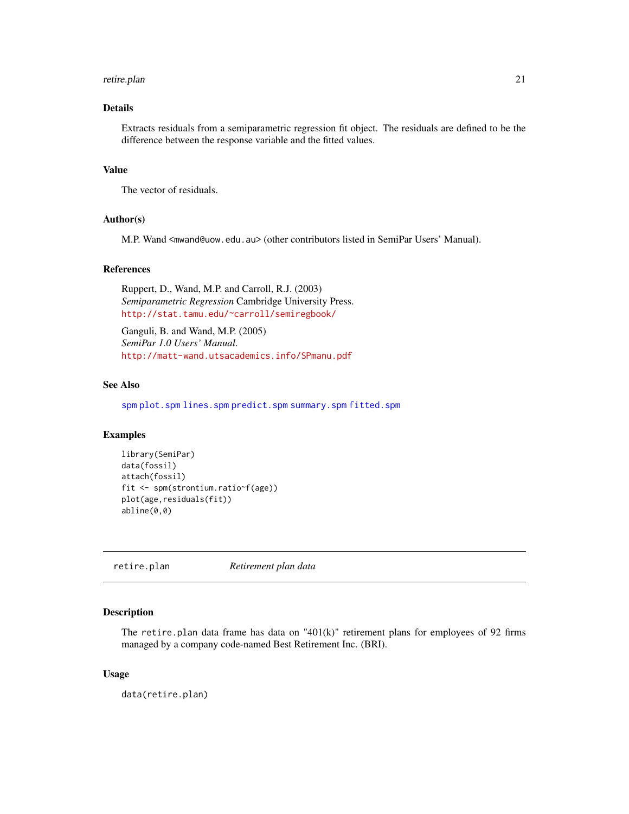#### <span id="page-20-0"></span>retire.plan 21

#### Details

Extracts residuals from a semiparametric regression fit object. The residuals are defined to be the difference between the response variable and the fitted values.

#### Value

The vector of residuals.

#### Author(s)

M.P. Wand <mwand@uow.edu.au> (other contributors listed in SemiPar Users' Manual).

#### References

Ruppert, D., Wand, M.P. and Carroll, R.J. (2003) *Semiparametric Regression* Cambridge University Press. <http://stat.tamu.edu/~carroll/semiregbook/>

Ganguli, B. and Wand, M.P. (2005) *SemiPar 1.0 Users' Manual*. <http://matt-wand.utsacademics.info/SPmanu.pdf>

#### See Also

[spm](#page-25-1) [plot.spm](#page-15-1) [lines.spm](#page-10-1) [predict.spm](#page-16-1) [summary.spm](#page-26-1) [fitted.spm](#page-6-1)

#### Examples

```
library(SemiPar)
data(fossil)
attach(fossil)
fit <- spm(strontium.ratio~f(age))
plot(age,residuals(fit))
abline(0,0)
```
retire.plan *Retirement plan data*

#### Description

The retire.plan data frame has data on " $401(k)$ " retirement plans for employees of 92 firms managed by a company code-named Best Retirement Inc. (BRI).

#### Usage

data(retire.plan)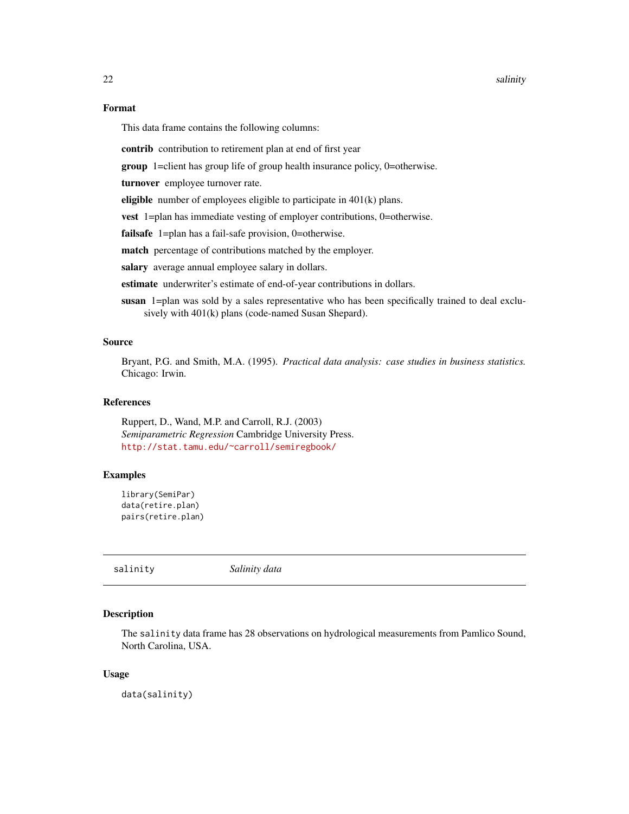<span id="page-21-0"></span>22 salinity and the contract of the contract of the contract of the contract of the contract of the contract of the contract of the contract of the contract of the contract of the contract of the contract of the contract o

#### Format

This data frame contains the following columns:

contrib contribution to retirement plan at end of first year

group 1=client has group life of group health insurance policy, 0=otherwise.

turnover employee turnover rate.

eligible number of employees eligible to participate in  $401(k)$  plans.

vest 1=plan has immediate vesting of employer contributions, 0=otherwise.

failsafe 1=plan has a fail-safe provision, 0=otherwise.

match percentage of contributions matched by the employer.

salary average annual employee salary in dollars.

estimate underwriter's estimate of end-of-year contributions in dollars.

susan 1=plan was sold by a sales representative who has been specifically trained to deal exclusively with  $401(k)$  plans (code-named Susan Shepard).

#### Source

Bryant, P.G. and Smith, M.A. (1995). *Practical data analysis: case studies in business statistics.* Chicago: Irwin.

#### References

Ruppert, D., Wand, M.P. and Carroll, R.J. (2003) *Semiparametric Regression* Cambridge University Press. <http://stat.tamu.edu/~carroll/semiregbook/>

#### Examples

```
library(SemiPar)
data(retire.plan)
pairs(retire.plan)
```
salinity *Salinity data*

#### Description

The salinity data frame has 28 observations on hydrological measurements from Pamlico Sound, North Carolina, USA.

#### Usage

data(salinity)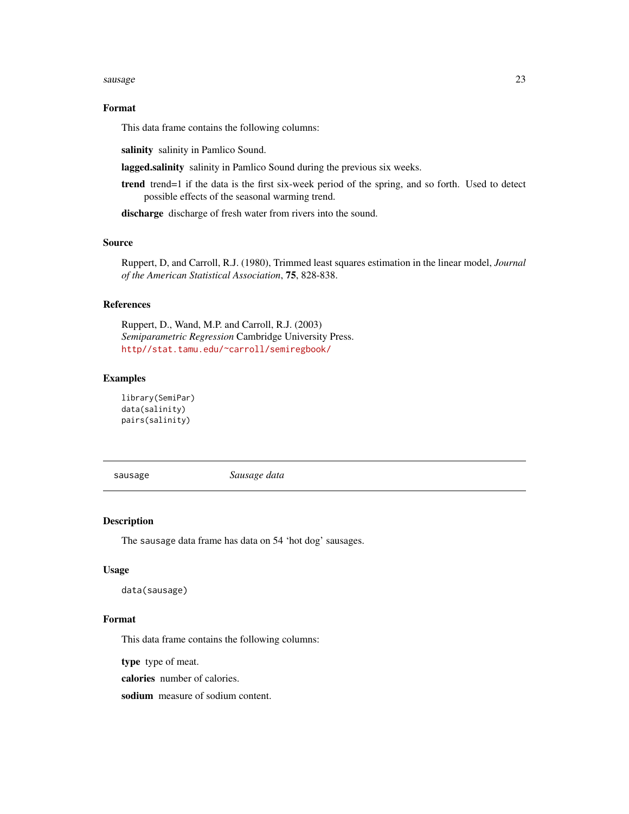#### <span id="page-22-0"></span>sausage 23

#### Format

This data frame contains the following columns:

salinity salinity in Pamlico Sound.

lagged.salinity salinity in Pamlico Sound during the previous six weeks.

trend trend=1 if the data is the first six-week period of the spring, and so forth. Used to detect possible effects of the seasonal warming trend.

discharge discharge of fresh water from rivers into the sound.

#### Source

Ruppert, D, and Carroll, R.J. (1980), Trimmed least squares estimation in the linear model, *Journal of the American Statistical Association*, 75, 828-838.

#### References

Ruppert, D., Wand, M.P. and Carroll, R.J. (2003) *Semiparametric Regression* Cambridge University Press. <http//stat.tamu.edu/~carroll/semiregbook/>

#### Examples

library(SemiPar) data(salinity) pairs(salinity)

sausage *Sausage data*

#### Description

The sausage data frame has data on 54 'hot dog' sausages.

#### Usage

```
data(sausage)
```
#### Format

This data frame contains the following columns:

type type of meat.

calories number of calories.

sodium measure of sodium content.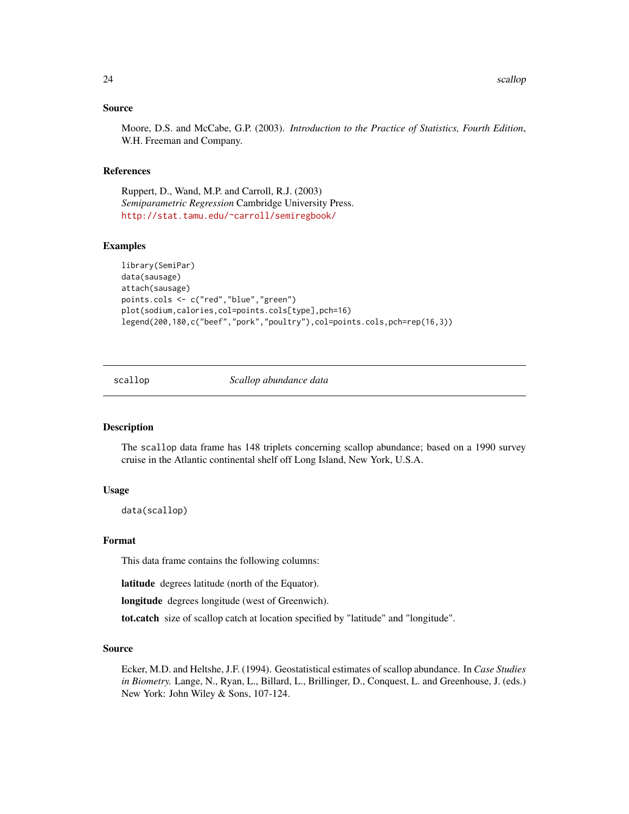#### <span id="page-23-0"></span>Source

Moore, D.S. and McCabe, G.P. (2003). *Introduction to the Practice of Statistics, Fourth Edition*, W.H. Freeman and Company.

#### References

Ruppert, D., Wand, M.P. and Carroll, R.J. (2003) *Semiparametric Regression* Cambridge University Press. <http://stat.tamu.edu/~carroll/semiregbook/>

#### Examples

```
library(SemiPar)
data(sausage)
attach(sausage)
points.cols <- c("red","blue","green")
plot(sodium,calories,col=points.cols[type],pch=16)
legend(200,180,c("beef","pork","poultry"),col=points.cols,pch=rep(16,3))
```
scallop *Scallop abundance data*

#### Description

The scallop data frame has 148 triplets concerning scallop abundance; based on a 1990 survey cruise in the Atlantic continental shelf off Long Island, New York, U.S.A.

#### Usage

data(scallop)

#### Format

This data frame contains the following columns:

latitude degrees latitude (north of the Equator).

longitude degrees longitude (west of Greenwich).

tot.catch size of scallop catch at location specified by "latitude" and "longitude".

#### Source

Ecker, M.D. and Heltshe, J.F. (1994). Geostatistical estimates of scallop abundance. In *Case Studies in Biometry.* Lange, N., Ryan, L., Billard, L., Brillinger, D., Conquest, L. and Greenhouse, J. (eds.) New York: John Wiley & Sons, 107-124.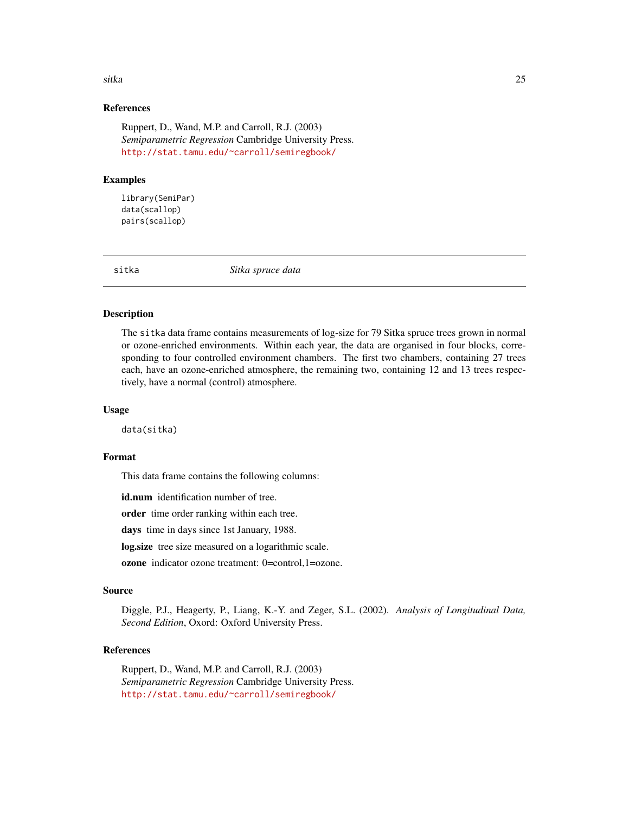#### <span id="page-24-0"></span>sitka **25. urte - 25. urte - 25. urte - 25. urte - 25. urte - 25. urte - 25. urte - 25. urte - 25. urte - 25. urte - 25. urte - 25. urte - 25. urte - 25. urte - 25. urte - 25. urte - 25. urte - 25. urte - 25. urte - 25. ur**

#### References

Ruppert, D., Wand, M.P. and Carroll, R.J. (2003) *Semiparametric Regression* Cambridge University Press. <http://stat.tamu.edu/~carroll/semiregbook/>

#### Examples

library(SemiPar) data(scallop) pairs(scallop)

sitka *Sitka spruce data*

#### Description

The sitka data frame contains measurements of log-size for 79 Sitka spruce trees grown in normal or ozone-enriched environments. Within each year, the data are organised in four blocks, corresponding to four controlled environment chambers. The first two chambers, containing 27 trees each, have an ozone-enriched atmosphere, the remaining two, containing 12 and 13 trees respectively, have a normal (control) atmosphere.

#### Usage

data(sitka)

#### Format

This data frame contains the following columns:

id.num identification number of tree.

order time order ranking within each tree.

days time in days since 1st January, 1988.

log.size tree size measured on a logarithmic scale.

ozone indicator ozone treatment: 0=control,1=ozone.

#### Source

Diggle, P.J., Heagerty, P., Liang, K.-Y. and Zeger, S.L. (2002). *Analysis of Longitudinal Data, Second Edition*, Oxord: Oxford University Press.

#### References

Ruppert, D., Wand, M.P. and Carroll, R.J. (2003) *Semiparametric Regression* Cambridge University Press. <http://stat.tamu.edu/~carroll/semiregbook/>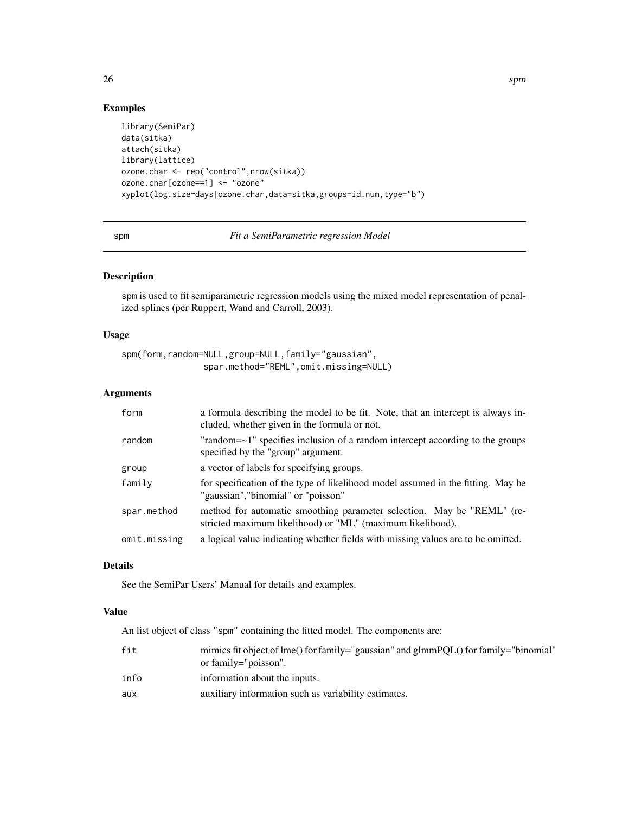#### Examples

```
library(SemiPar)
data(sitka)
attach(sitka)
library(lattice)
ozone.char <- rep("control",nrow(sitka))
ozone.char[ozone==1] <- "ozone"
xyplot(log.size~days|ozone.char,data=sitka,groups=id.num,type="b")
```
<span id="page-25-1"></span>spm *Fit a SemiParametric regression Model*

#### Description

spm is used to fit semiparametric regression models using the mixed model representation of penalized splines (per Ruppert, Wand and Carroll, 2003).

#### Usage

spm(form,random=NULL,group=NULL,family="gaussian", spar.method="REML",omit.missing=NULL)

#### Arguments

| form         | a formula describing the model to be fit. Note, that an intercept is always in-<br>cluded, whether given in the formula or not.      |
|--------------|--------------------------------------------------------------------------------------------------------------------------------------|
| random       | "random=~1" specifies inclusion of a random intercept according to the groups<br>specified by the "group" argument.                  |
| group        | a vector of labels for specifying groups.                                                                                            |
| family       | for specification of the type of likelihood model assumed in the fitting. May be<br>"gaussian", "binomial" or "poisson"              |
| spar.method  | method for automatic smoothing parameter selection. May be "REML" (re-<br>stricted maximum likelihood) or "ML" (maximum likelihood). |
| omit.missing | a logical value indicating whether fields with missing values are to be omitted.                                                     |

### Details

See the SemiPar Users' Manual for details and examples.

#### Value

An list object of class "spm" containing the fitted model. The components are:

| fit  | mimics fit object of lme() for family="gaussian" and glmmPQL() for family="binomial"<br>or family="poisson". |
|------|--------------------------------------------------------------------------------------------------------------|
| info | information about the inputs.                                                                                |
| aux  | auxiliary information such as variability estimates.                                                         |

<span id="page-25-0"></span>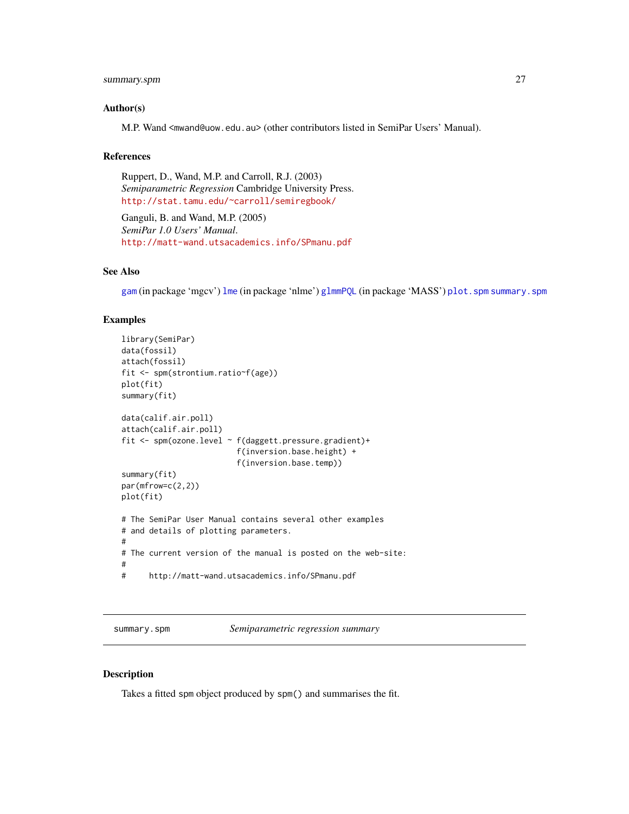#### <span id="page-26-0"></span>summary.spm 27

#### Author(s)

M.P. Wand <mwand@uow.edu.au> (other contributors listed in SemiPar Users' Manual).

#### References

Ruppert, D., Wand, M.P. and Carroll, R.J. (2003) *Semiparametric Regression* Cambridge University Press. <http://stat.tamu.edu/~carroll/semiregbook/>

Ganguli, B. and Wand, M.P. (2005) *SemiPar 1.0 Users' Manual*. <http://matt-wand.utsacademics.info/SPmanu.pdf>

#### See Also

[gam](#page-0-0) (in package 'mgcv') [lme](#page-0-0) (in package 'nlme') [glmmPQL](#page-0-0) (in package 'MASS') [plot.spm](#page-15-1) [summary.spm](#page-26-1)

#### Examples

```
library(SemiPar)
data(fossil)
attach(fossil)
fit <- spm(strontium.ratio~f(age))
plot(fit)
summary(fit)
data(calif.air.poll)
attach(calif.air.poll)
fit <- spm(ozone.level ~ f(daggett.pressure.gradient)+
                         f(inversion.base.height) +
                         f(inversion.base.temp))
summary(fit)
par(mfrow=c(2,2))
plot(fit)
# The SemiPar User Manual contains several other examples
# and details of plotting parameters.
#
# The current version of the manual is posted on the web-site:
#
# http://matt-wand.utsacademics.info/SPmanu.pdf
```
<span id="page-26-1"></span>summary.spm *Semiparametric regression summary*

#### Description

Takes a fitted spm object produced by spm() and summarises the fit.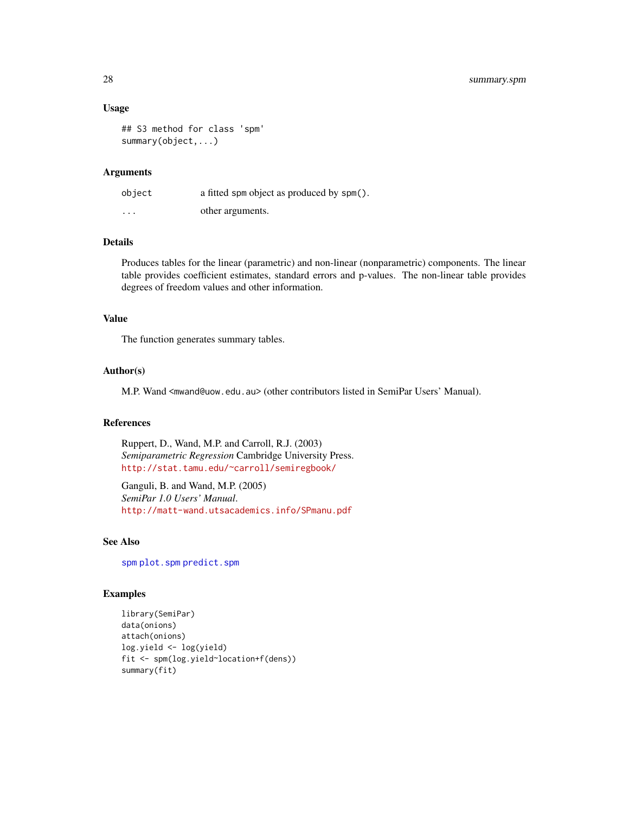#### Usage

## S3 method for class 'spm' summary(object,...)

#### Arguments

| object                  | a fitted spm object as produced by spm(). |
|-------------------------|-------------------------------------------|
| $\cdot$ $\cdot$ $\cdot$ | other arguments.                          |

#### Details

Produces tables for the linear (parametric) and non-linear (nonparametric) components. The linear table provides coefficient estimates, standard errors and p-values. The non-linear table provides degrees of freedom values and other information.

#### Value

The function generates summary tables.

#### Author(s)

M.P. Wand <mwand@uow.edu.au> (other contributors listed in SemiPar Users' Manual).

#### References

Ruppert, D., Wand, M.P. and Carroll, R.J. (2003) *Semiparametric Regression* Cambridge University Press. <http://stat.tamu.edu/~carroll/semiregbook/>

Ganguli, B. and Wand, M.P. (2005) *SemiPar 1.0 Users' Manual*. <http://matt-wand.utsacademics.info/SPmanu.pdf>

#### See Also

[spm](#page-25-1) [plot.spm](#page-15-1) [predict.spm](#page-16-1)

```
library(SemiPar)
data(onions)
attach(onions)
log.yield <- log(yield)
fit <- spm(log.yield~location+f(dens))
summary(fit)
```
<span id="page-27-0"></span>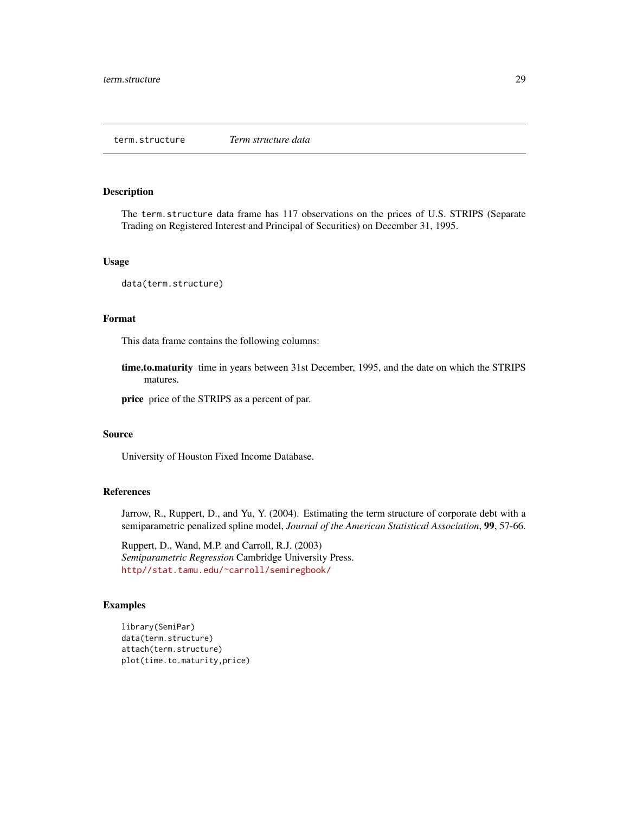<span id="page-28-0"></span>The term.structure data frame has 117 observations on the prices of U.S. STRIPS (Separate Trading on Registered Interest and Principal of Securities) on December 31, 1995.

#### Usage

```
data(term.structure)
```
#### Format

This data frame contains the following columns:

time.to.maturity time in years between 31st December, 1995, and the date on which the STRIPS matures.

price price of the STRIPS as a percent of par.

#### Source

University of Houston Fixed Income Database.

#### References

Jarrow, R., Ruppert, D., and Yu, Y. (2004). Estimating the term structure of corporate debt with a semiparametric penalized spline model, *Journal of the American Statistical Association*, 99, 57-66.

Ruppert, D., Wand, M.P. and Carroll, R.J. (2003) *Semiparametric Regression* Cambridge University Press. <http//stat.tamu.edu/~carroll/semiregbook/>

```
library(SemiPar)
data(term.structure)
attach(term.structure)
plot(time.to.maturity,price)
```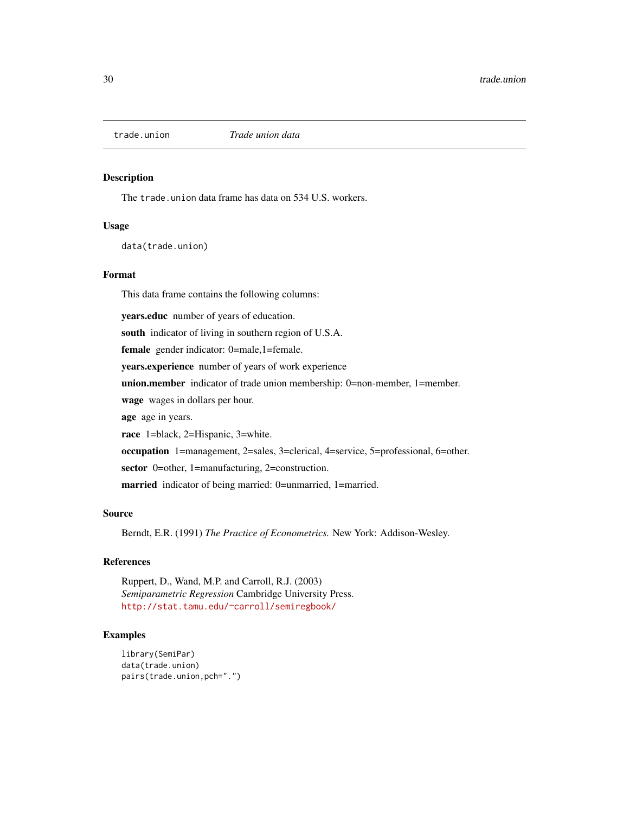<span id="page-29-0"></span>

The trade.union data frame has data on 534 U.S. workers.

#### Usage

data(trade.union)

#### Format

This data frame contains the following columns:

years.educ number of years of education.

south indicator of living in southern region of U.S.A.

female gender indicator: 0=male,1=female.

years.experience number of years of work experience

union.member indicator of trade union membership: 0=non-member, 1=member.

wage wages in dollars per hour.

age age in years.

race 1=black, 2=Hispanic, 3=white.

occupation 1=management, 2=sales, 3=clerical, 4=service, 5=professional, 6=other.

sector 0=other, 1=manufacturing, 2=construction.

married indicator of being married: 0=unmarried, 1=married.

#### Source

Berndt, E.R. (1991) *The Practice of Econometrics.* New York: Addison-Wesley.

#### References

Ruppert, D., Wand, M.P. and Carroll, R.J. (2003) *Semiparametric Regression* Cambridge University Press. <http://stat.tamu.edu/~carroll/semiregbook/>

```
library(SemiPar)
data(trade.union)
pairs(trade.union,pch=".")
```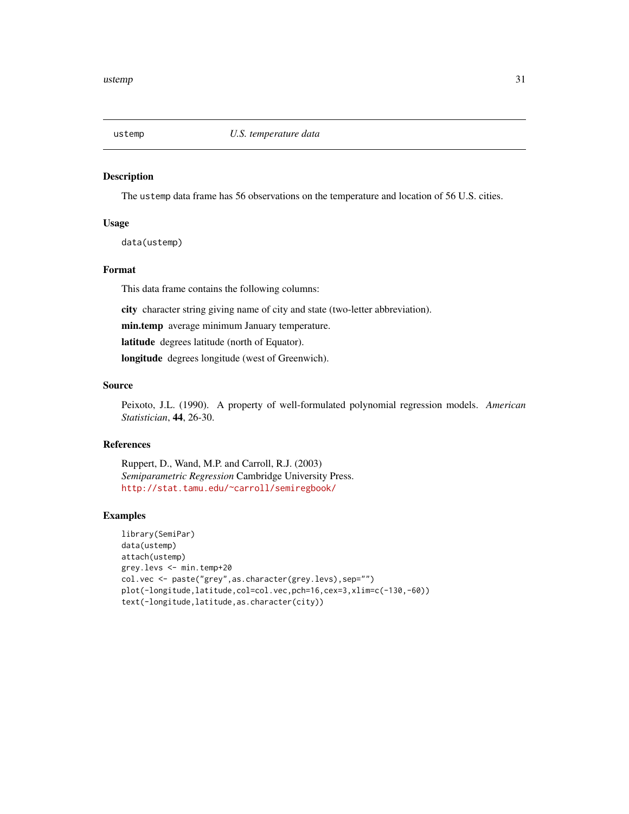<span id="page-30-0"></span>

The ustemp data frame has 56 observations on the temperature and location of 56 U.S. cities.

#### Usage

data(ustemp)

#### Format

This data frame contains the following columns:

city character string giving name of city and state (two-letter abbreviation).

min.temp average minimum January temperature.

latitude degrees latitude (north of Equator).

longitude degrees longitude (west of Greenwich).

#### Source

Peixoto, J.L. (1990). A property of well-formulated polynomial regression models. *American Statistician*, 44, 26-30.

#### References

Ruppert, D., Wand, M.P. and Carroll, R.J. (2003) *Semiparametric Regression* Cambridge University Press. <http://stat.tamu.edu/~carroll/semiregbook/>

```
library(SemiPar)
data(ustemp)
attach(ustemp)
grey.levs <- min.temp+20
col.vec <- paste("grey",as.character(grey.levs),sep="")
plot(-longitude,latitude,col=col.vec,pch=16,cex=3,xlim=c(-130,-60))
text(-longitude,latitude,as.character(city))
```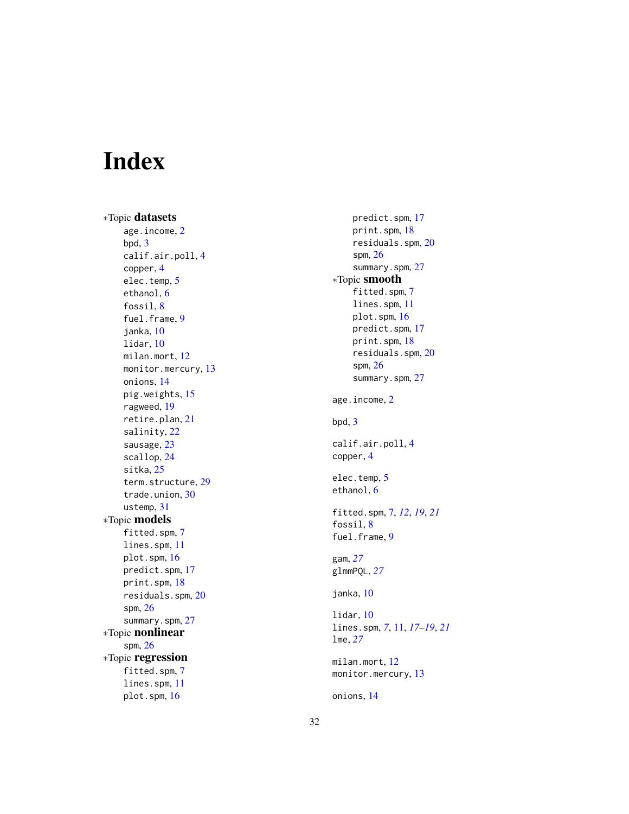# <span id="page-31-0"></span>Index

∗Topic datasets age.income , [2](#page-1-0) bpd , [3](#page-2-0) calif.air.poll , [4](#page-3-0) copper , [4](#page-3-0) elec.temp, [5](#page-4-0) ethanol, [6](#page-5-0) fossil, [8](#page-7-0) fuel.frame, [9](#page-8-0) janka , [10](#page-9-0) lidar , [10](#page-9-0) milan.mort , [12](#page-11-0) monitor.mercury, [13](#page-12-0) onions , [14](#page-13-0) pig.weights , [15](#page-14-0) ragweed , [19](#page-18-0) retire.plan , [21](#page-20-0) salinity , [22](#page-21-0) sausage, [23](#page-22-0) scallop , [24](#page-23-0) sitka , [25](#page-24-0) term.structure , [29](#page-28-0) trade.union , [30](#page-29-0) ustemp , [31](#page-30-0) ∗Topic models fitted.spm , [7](#page-6-0) lines.spm , [11](#page-10-0) plot.spm , [16](#page-15-0) predict.spm , [17](#page-16-0) print.spm , [18](#page-17-0) residuals.spm , [20](#page-19-0) spm , [26](#page-25-0) summary.spm , [27](#page-26-0) ∗Topic nonlinear spm , [26](#page-25-0) ∗Topic regression fitted.spm , [7](#page-6-0) lines.spm , [11](#page-10-0) plot.spm , [16](#page-15-0)

predict.spm , [17](#page-16-0) print.spm , [18](#page-17-0) residuals.spm , [20](#page-19-0) spm , [26](#page-25-0) summary.spm, [27](#page-26-0) ∗Topic smooth fitted.spm, [7](#page-6-0) lines.spm , [11](#page-10-0) plot.spm , [16](#page-15-0) predict.spm , [17](#page-16-0) print.spm , [18](#page-17-0) residuals.spm , [20](#page-19-0) spm , [26](#page-25-0) summary.spm, [27](#page-26-0) age.income , [2](#page-1-0) bpd , [3](#page-2-0) calif.air.poll , [4](#page-3-0) copper , [4](#page-3-0) elec.temp, [5](#page-4-0) ethanol, [6](#page-5-0) fitted.spm , [7](#page-6-0) , *[12](#page-11-0)* , *[19](#page-18-0)* , *[21](#page-20-0)* fossil, [8](#page-7-0) fuel.frame, [9](#page-8-0) gam , *[27](#page-26-0)* glmmPQL , *[27](#page-26-0)* janka , [10](#page-9-0) lidar , [10](#page-9-0) lines.spm , *[7](#page-6-0)* , [11](#page-10-0) , *[17](#page-16-0)[–19](#page-18-0)* , *[21](#page-20-0)* lme , *[27](#page-26-0)* milan.mort , [12](#page-11-0) monitor.mercury, [13](#page-12-0) onions , [14](#page-13-0)